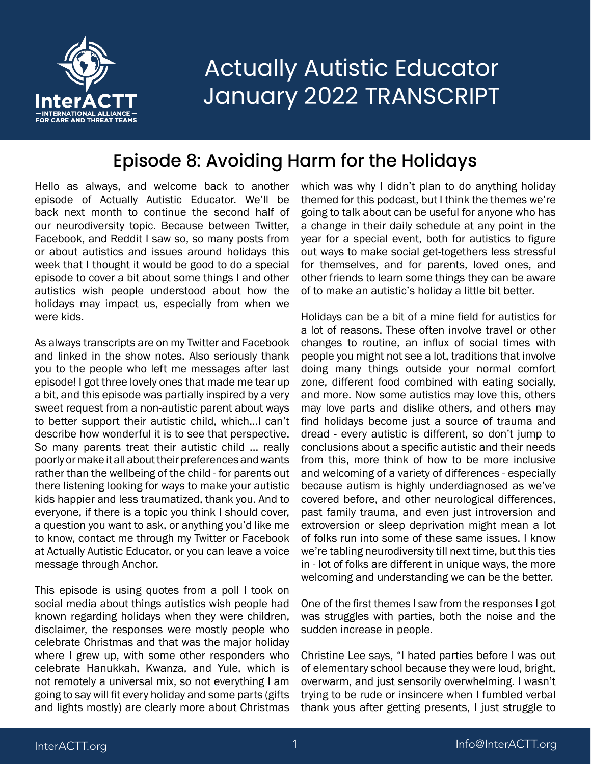

#### Episode 8: Avoiding Harm for the Holidays

Hello as always, and welcome back to another episode of Actually Autistic Educator. We'll be back next month to continue the second half of our neurodiversity topic. Because between Twitter, Facebook, and Reddit I saw so, so many posts from or about autistics and issues around holidays this week that I thought it would be good to do a special episode to cover a bit about some things I and other autistics wish people understood about how the holidays may impact us, especially from when we were kids.

As always transcripts are on my Twitter and Facebook and linked in the show notes. Also seriously thank you to the people who left me messages after last episode! I got three lovely ones that made me tear up a bit, and this episode was partially inspired by a very sweet request from a non-autistic parent about ways to better support their autistic child, which...I can't describe how wonderful it is to see that perspective. So many parents treat their autistic child ... really poorly or make it all about their preferences and wants rather than the wellbeing of the child - for parents out there listening looking for ways to make your autistic kids happier and less traumatized, thank you. And to everyone, if there is a topic you think I should cover, a question you want to ask, or anything you'd like me to know, contact me through my Twitter or Facebook at Actually Autistic Educator, or you can leave a voice message through Anchor.

This episode is using quotes from a poll I took on social media about things autistics wish people had known regarding holidays when they were children, disclaimer, the responses were mostly people who celebrate Christmas and that was the major holiday where I grew up, with some other responders who celebrate Hanukkah, Kwanza, and Yule, which is not remotely a universal mix, so not everything I am going to say will fit every holiday and some parts (gifts and lights mostly) are clearly more about Christmas

which was why I didn't plan to do anything holiday themed for this podcast, but I think the themes we're going to talk about can be useful for anyone who has a change in their daily schedule at any point in the year for a special event, both for autistics to figure out ways to make social get-togethers less stressful for themselves, and for parents, loved ones, and other friends to learn some things they can be aware of to make an autistic's holiday a little bit better.

Holidays can be a bit of a mine field for autistics for a lot of reasons. These often involve travel or other changes to routine, an influx of social times with people you might not see a lot, traditions that involve doing many things outside your normal comfort zone, different food combined with eating socially, and more. Now some autistics may love this, others may love parts and dislike others, and others may find holidays become just a source of trauma and dread - every autistic is different, so don't jump to conclusions about a specific autistic and their needs from this, more think of how to be more inclusive and welcoming of a variety of differences - especially because autism is highly underdiagnosed as we've covered before, and other neurological differences, past family trauma, and even just introversion and extroversion or sleep deprivation might mean a lot of folks run into some of these same issues. I know we're tabling neurodiversity till next time, but this ties in - lot of folks are different in unique ways, the more welcoming and understanding we can be the better.

One of the first themes I saw from the responses I got was struggles with parties, both the noise and the sudden increase in people.

Christine Lee says, "I hated parties before I was out of elementary school because they were loud, bright, overwarm, and just sensorily overwhelming. I wasn't trying to be rude or insincere when I fumbled verbal thank yous after getting presents, I just struggle to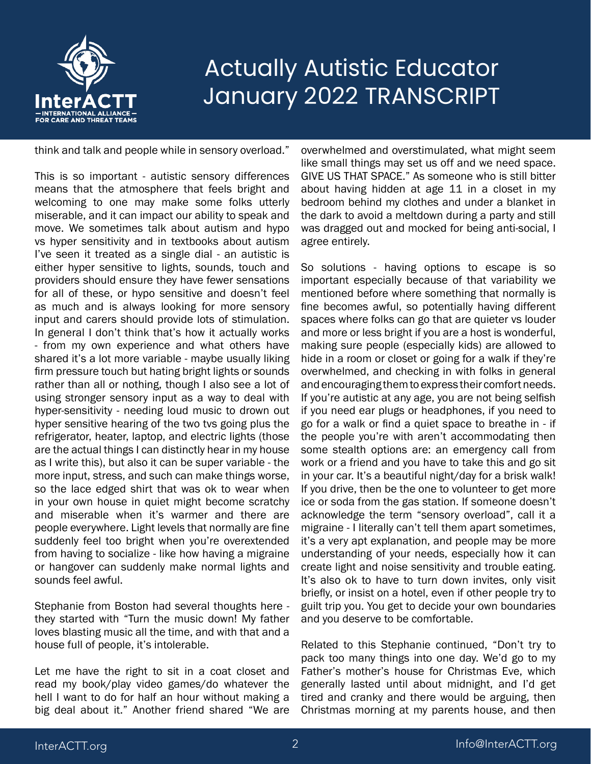

think and talk and people while in sensory overload."

This is so important - autistic sensory differences means that the atmosphere that feels bright and welcoming to one may make some folks utterly miserable, and it can impact our ability to speak and move. We sometimes talk about autism and hypo vs hyper sensitivity and in textbooks about autism I've seen it treated as a single dial - an autistic is either hyper sensitive to lights, sounds, touch and providers should ensure they have fewer sensations for all of these, or hypo sensitive and doesn't feel as much and is always looking for more sensory input and carers should provide lots of stimulation. In general I don't think that's how it actually works - from my own experience and what others have shared it's a lot more variable - maybe usually liking firm pressure touch but hating bright lights or sounds rather than all or nothing, though I also see a lot of using stronger sensory input as a way to deal with hyper-sensitivity - needing loud music to drown out hyper sensitive hearing of the two tvs going plus the refrigerator, heater, laptop, and electric lights (those are the actual things I can distinctly hear in my house as I write this), but also it can be super variable - the more input, stress, and such can make things worse, so the lace edged shirt that was ok to wear when in your own house in quiet might become scratchy and miserable when it's warmer and there are people everywhere. Light levels that normally are fine suddenly feel too bright when you're overextended from having to socialize - like how having a migraine or hangover can suddenly make normal lights and sounds feel awful.

Stephanie from Boston had several thoughts here they started with "Turn the music down! My father loves blasting music all the time, and with that and a house full of people, it's intolerable.

Let me have the right to sit in a coat closet and read my book/play video games/do whatever the hell I want to do for half an hour without making a big deal about it." Another friend shared "We are

overwhelmed and overstimulated, what might seem like small things may set us off and we need space. GIVE US THAT SPACE." As someone who is still bitter about having hidden at age 11 in a closet in my bedroom behind my clothes and under a blanket in the dark to avoid a meltdown during a party and still was dragged out and mocked for being anti-social, I agree entirely.

So solutions - having options to escape is so important especially because of that variability we mentioned before where something that normally is fine becomes awful, so potentially having different spaces where folks can go that are quieter vs louder and more or less bright if you are a host is wonderful, making sure people (especially kids) are allowed to hide in a room or closet or going for a walk if they're overwhelmed, and checking in with folks in general and encouraging them to express their comfort needs. If you're autistic at any age, you are not being selfish if you need ear plugs or headphones, if you need to go for a walk or find a quiet space to breathe in - if the people you're with aren't accommodating then some stealth options are: an emergency call from work or a friend and you have to take this and go sit in your car. It's a beautiful night/day for a brisk walk! If you drive, then be the one to volunteer to get more ice or soda from the gas station. If someone doesn't acknowledge the term "sensory overload", call it a migraine - I literally can't tell them apart sometimes, it's a very apt explanation, and people may be more understanding of your needs, especially how it can create light and noise sensitivity and trouble eating. It's also ok to have to turn down invites, only visit briefly, or insist on a hotel, even if other people try to guilt trip you. You get to decide your own boundaries and you deserve to be comfortable.

Related to this Stephanie continued, "Don't try to pack too many things into one day. We'd go to my Father's mother's house for Christmas Eve, which generally lasted until about midnight, and I'd get tired and cranky and there would be arguing, then Christmas morning at my parents house, and then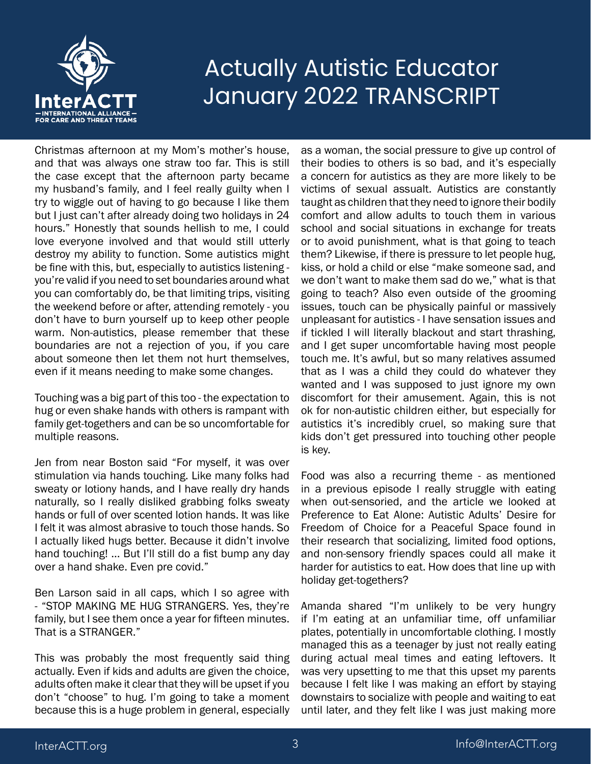

Christmas afternoon at my Mom's mother's house, and that was always one straw too far. This is still the case except that the afternoon party became my husband's family, and I feel really guilty when I try to wiggle out of having to go because I like them but I just can't after already doing two holidays in 24 hours." Honestly that sounds hellish to me, I could love everyone involved and that would still utterly destroy my ability to function. Some autistics might be fine with this, but, especially to autistics listening you're valid if you need to set boundaries around what you can comfortably do, be that limiting trips, visiting the weekend before or after, attending remotely - you don't have to burn yourself up to keep other people warm. Non-autistics, please remember that these boundaries are not a rejection of you, if you care about someone then let them not hurt themselves, even if it means needing to make some changes.

Touching was a big part of this too - the expectation to hug or even shake hands with others is rampant with family get-togethers and can be so uncomfortable for multiple reasons.

Jen from near Boston said "For myself, it was over stimulation via hands touching. Like many folks had sweaty or lotiony hands, and I have really dry hands naturally, so I really disliked grabbing folks sweaty hands or full of over scented lotion hands. It was like I felt it was almost abrasive to touch those hands. So I actually liked hugs better. Because it didn't involve hand touching! ... But I'll still do a fist bump any day over a hand shake. Even pre covid."

Ben Larson said in all caps, which I so agree with - "STOP MAKING ME HUG STRANGERS. Yes, they're family, but I see them once a year for fifteen minutes. That is a STRANGER."

This was probably the most frequently said thing actually. Even if kids and adults are given the choice, adults often make it clear that they will be upset if you don't "choose" to hug. I'm going to take a moment because this is a huge problem in general, especially

as a woman, the social pressure to give up control of their bodies to others is so bad, and it's especially a concern for autistics as they are more likely to be victims of sexual assualt. Autistics are constantly taught as children that they need to ignore their bodily comfort and allow adults to touch them in various school and social situations in exchange for treats or to avoid punishment, what is that going to teach them? Likewise, if there is pressure to let people hug, kiss, or hold a child or else "make someone sad, and we don't want to make them sad do we," what is that going to teach? Also even outside of the grooming issues, touch can be physically painful or massively unpleasant for autistics - I have sensation issues and if tickled I will literally blackout and start thrashing, and I get super uncomfortable having most people touch me. It's awful, but so many relatives assumed that as I was a child they could do whatever they wanted and I was supposed to just ignore my own discomfort for their amusement. Again, this is not ok for non-autistic children either, but especially for autistics it's incredibly cruel, so making sure that kids don't get pressured into touching other people is key.

Food was also a recurring theme - as mentioned in a previous episode I really struggle with eating when out-sensoried, and the article we looked at Preference to Eat Alone: Autistic Adults' Desire for Freedom of Choice for a Peaceful Space found in their research that socializing, limited food options, and non-sensory friendly spaces could all make it harder for autistics to eat. How does that line up with holiday get-togethers?

Amanda shared "I'm unlikely to be very hungry if I'm eating at an unfamiliar time, off unfamiliar plates, potentially in uncomfortable clothing. I mostly managed this as a teenager by just not really eating during actual meal times and eating leftovers. It was very upsetting to me that this upset my parents because I felt like I was making an effort by staying downstairs to socialize with people and waiting to eat until later, and they felt like I was just making more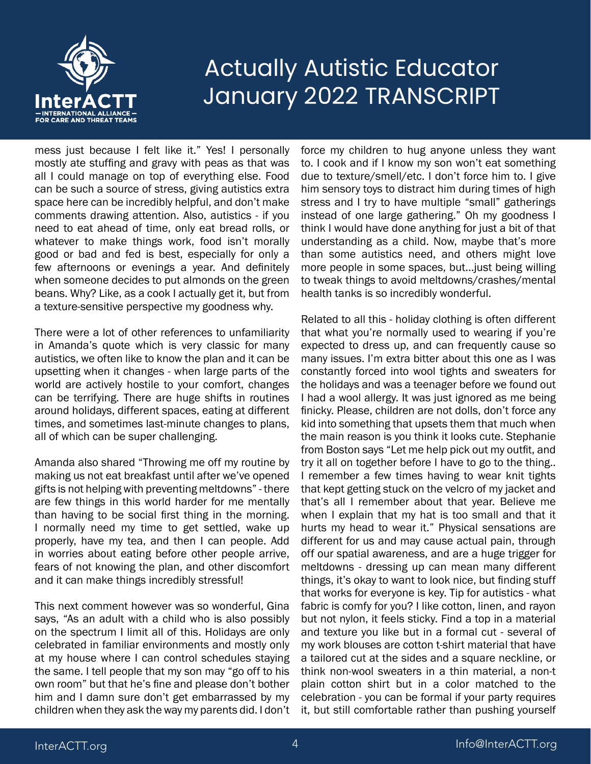

mess just because I felt like it." Yes! I personally mostly ate stuffing and gravy with peas as that was all I could manage on top of everything else. Food can be such a source of stress, giving autistics extra space here can be incredibly helpful, and don't make comments drawing attention. Also, autistics - if you need to eat ahead of time, only eat bread rolls, or whatever to make things work, food isn't morally good or bad and fed is best, especially for only a few afternoons or evenings a year. And definitely when someone decides to put almonds on the green beans. Why? Like, as a cook I actually get it, but from a texture-sensitive perspective my goodness why.

There were a lot of other references to unfamiliarity in Amanda's quote which is very classic for many autistics, we often like to know the plan and it can be upsetting when it changes - when large parts of the world are actively hostile to your comfort, changes can be terrifying. There are huge shifts in routines around holidays, different spaces, eating at different times, and sometimes last-minute changes to plans, all of which can be super challenging.

Amanda also shared "Throwing me off my routine by making us not eat breakfast until after we've opened gifts is not helping with preventing meltdowns" - there are few things in this world harder for me mentally than having to be social first thing in the morning. I normally need my time to get settled, wake up properly, have my tea, and then I can people. Add in worries about eating before other people arrive, fears of not knowing the plan, and other discomfort and it can make things incredibly stressful!

This next comment however was so wonderful, Gina says, "As an adult with a child who is also possibly on the spectrum I limit all of this. Holidays are only celebrated in familiar environments and mostly only at my house where I can control schedules staying the same. I tell people that my son may "go off to his own room" but that he's fine and please don't bother him and I damn sure don't get embarrassed by my children when they ask the way my parents did. I don't

force my children to hug anyone unless they want to. I cook and if I know my son won't eat something due to texture/smell/etc. I don't force him to. I give him sensory toys to distract him during times of high stress and I try to have multiple "small" gatherings instead of one large gathering." Oh my goodness I think I would have done anything for just a bit of that understanding as a child. Now, maybe that's more than some autistics need, and others might love more people in some spaces, but...just being willing to tweak things to avoid meltdowns/crashes/mental health tanks is so incredibly wonderful.

Related to all this - holiday clothing is often different that what you're normally used to wearing if you're expected to dress up, and can frequently cause so many issues. I'm extra bitter about this one as I was constantly forced into wool tights and sweaters for the holidays and was a teenager before we found out I had a wool allergy. It was just ignored as me being finicky. Please, children are not dolls, don't force any kid into something that upsets them that much when the main reason is you think it looks cute. Stephanie from Boston says "Let me help pick out my outfit, and try it all on together before I have to go to the thing.. I remember a few times having to wear knit tights that kept getting stuck on the velcro of my jacket and that's all I remember about that year. Believe me when I explain that my hat is too small and that it hurts my head to wear it." Physical sensations are different for us and may cause actual pain, through off our spatial awareness, and are a huge trigger for meltdowns - dressing up can mean many different things, it's okay to want to look nice, but finding stuff that works for everyone is key. Tip for autistics - what fabric is comfy for you? I like cotton, linen, and rayon but not nylon, it feels sticky. Find a top in a material and texture you like but in a formal cut - several of my work blouses are cotton t-shirt material that have a tailored cut at the sides and a square neckline, or think non-wool sweaters in a thin material, a non-t plain cotton shirt but in a color matched to the celebration - you can be formal if your party requires it, but still comfortable rather than pushing yourself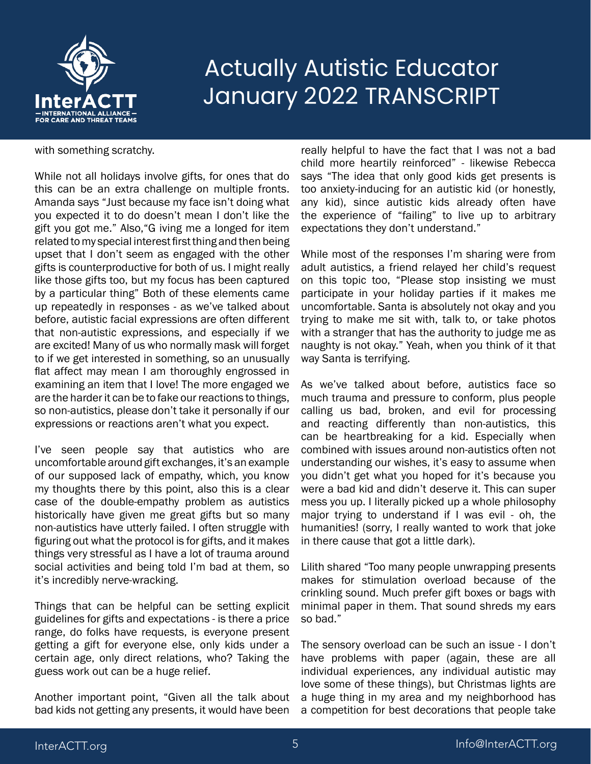

#### with something scratchy.

While not all holidays involve gifts, for ones that do this can be an extra challenge on multiple fronts. Amanda says "Just because my face isn't doing what you expected it to do doesn't mean I don't like the gift you got me." Also,"G iving me a longed for item related to my special interest first thing and then being upset that I don't seem as engaged with the other gifts is counterproductive for both of us. I might really like those gifts too, but my focus has been captured by a particular thing" Both of these elements came up repeatedly in responses - as we've talked about before, autistic facial expressions are often different that non-autistic expressions, and especially if we are excited! Many of us who normally mask will forget to if we get interested in something, so an unusually flat affect may mean I am thoroughly engrossed in examining an item that I love! The more engaged we are the harder it can be to fake our reactions to things, so non-autistics, please don't take it personally if our expressions or reactions aren't what you expect.

I've seen people say that autistics who are uncomfortable around gift exchanges, it's an example of our supposed lack of empathy, which, you know my thoughts there by this point, also this is a clear case of the double-empathy problem as autistics historically have given me great gifts but so many non-autistics have utterly failed. I often struggle with figuring out what the protocol is for gifts, and it makes things very stressful as I have a lot of trauma around social activities and being told I'm bad at them, so it's incredibly nerve-wracking.

Things that can be helpful can be setting explicit guidelines for gifts and expectations - is there a price range, do folks have requests, is everyone present getting a gift for everyone else, only kids under a certain age, only direct relations, who? Taking the guess work out can be a huge relief.

Another important point, "Given all the talk about bad kids not getting any presents, it would have been

really helpful to have the fact that I was not a bad child more heartily reinforced" - likewise Rebecca says "The idea that only good kids get presents is too anxiety-inducing for an autistic kid (or honestly, any kid), since autistic kids already often have the experience of "failing" to live up to arbitrary expectations they don't understand."

While most of the responses I'm sharing were from adult autistics, a friend relayed her child's request on this topic too, "Please stop insisting we must participate in your holiday parties if it makes me uncomfortable. Santa is absolutely not okay and you trying to make me sit with, talk to, or take photos with a stranger that has the authority to judge me as naughty is not okay." Yeah, when you think of it that way Santa is terrifying.

As we've talked about before, autistics face so much trauma and pressure to conform, plus people calling us bad, broken, and evil for processing and reacting differently than non-autistics, this can be heartbreaking for a kid. Especially when combined with issues around non-autistics often not understanding our wishes, it's easy to assume when you didn't get what you hoped for it's because you were a bad kid and didn't deserve it. This can super mess you up. I literally picked up a whole philosophy major trying to understand if I was evil - oh, the humanities! (sorry, I really wanted to work that joke in there cause that got a little dark).

Lilith shared "Too many people unwrapping presents makes for stimulation overload because of the crinkling sound. Much prefer gift boxes or bags with minimal paper in them. That sound shreds my ears so bad."

The sensory overload can be such an issue - I don't have problems with paper (again, these are all individual experiences, any individual autistic may love some of these things), but Christmas lights are a huge thing in my area and my neighborhood has a competition for best decorations that people take